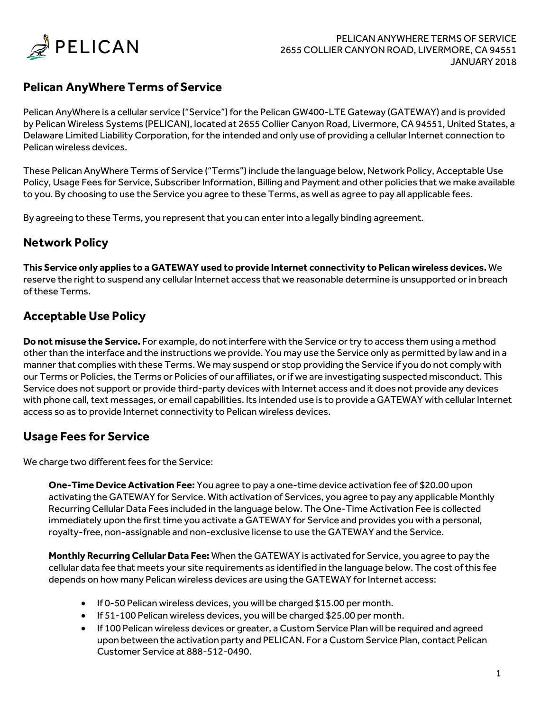

# **Pelican AnyWhere Terms of Service**

Pelican AnyWhere is a cellular service ("Service") for the Pelican GW400-LTE Gateway (GATEWAY) and is provided by Pelican Wireless Systems (PELICAN), located at 2655 Collier Canyon Road, Livermore, CA 94551, United States, a Delaware Limited Liability Corporation, for the intended and only use of providing a cellular Internet connection to Pelican wireless devices.

These Pelican AnyWhere Terms of Service ("Terms") include the language below, Network Policy, Acceptable Use Policy, Usage Fees for Service, Subscriber Information, Billing and Payment and other policies that we make available to you. By choosing to use the Service you agree to these Terms, as well as agree to pay all applicable fees.

By agreeing to these Terms, you represent that you can enter into a legally binding agreement.

### **Network Policy**

**This Service only applies to a GATEWAY used to provide Internet connectivity to Pelican wireless devices.** We reserve the right to suspend any cellular Internet access that we reasonable determine is unsupported or in breach of these Terms.

## **Acceptable Use Policy**

**Do not misuse the Service.** For example, do not interfere with the Service or try to access them using a method other than the interface and the instructions we provide. You may use the Service only as permitted by law and in a manner that complies with these Terms. We may suspend or stop providing the Service if you do not comply with our Terms or Policies, the Terms or Policies of our affiliates, or if we are investigating suspected misconduct. This Service does not support or provide third-party devices with Internet access and it does not provide any devices with phone call, text messages, or email capabilities. Its intended use is to provide a GATEWAY with cellular Internet access so as to provide Internet connectivity to Pelican wireless devices.

### **Usage Fees for Service**

We charge two different fees for the Service:

**One-Time Device Activation Fee:** You agree to pay a one-time device activation fee of \$20.00 upon activating the GATEWAY for Service. With activation of Services, you agree to pay any applicable Monthly Recurring Cellular Data Fees included in the language below. The One-Time Activation Fee is collected immediately upon the first time you activate a GATEWAY for Service and provides you with a personal, royalty-free, non-assignable and non-exclusive license to use the GATEWAY and the Service.

**Monthly Recurring Cellular Data Fee:** When the GATEWAY is activated for Service, you agree to pay the cellular data fee that meets your site requirements as identified in the language below. The cost of this fee depends on how many Pelican wireless devices are using the GATEWAY for Internet access:

- If 0-50 Pelican wireless devices, you will be charged \$15.00 per month.
- If 51-100 Pelican wireless devices, you will be charged \$25.00 per month.
- If 100 Pelican wireless devices or greater, a Custom Service Plan will be required and agreed upon between the activation party and PELICAN. For a Custom Service Plan, contact Pelican Customer Service at 888-512-0490.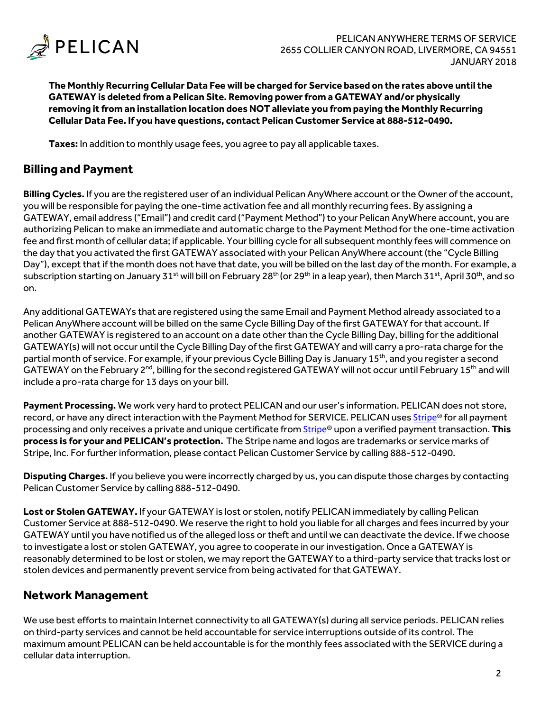

**The Monthly Recurring Cellular Data Fee will be charged for Service based on the rates above until the GATEWAY is deleted from a Pelican Site. Removing power from a GATEWAY and/or physically removing it from an installation location does NOT alleviate you from paying the Monthly Recurring Cellular Data Fee. If you have questions, contact Pelican Customer Service at 888-512-0490.**

**Taxes:** In addition to monthly usage fees, you agree to pay all applicable taxes.

### **Billing and Payment**

**Billing Cycles.** If you are the registered user of an individual Pelican AnyWhere account or the Owner of the account, you will be responsible for paying the one-time activation fee and all monthly recurring fees. By assigning a GATEWAY, email address ("Email") and credit card ("Payment Method") to your Pelican AnyWhere account, you are authorizing Pelican to make an immediate and automatic charge to the Payment Method for the one-time activation fee and first month of cellular data; if applicable. Your billing cycle for all subsequent monthly fees will commence on the day that you activated the first GATEWAY associated with your Pelican AnyWhere account (the "Cycle Billing Day"), except that if the month does not have that date, you will be billed on the last day of the month. For example, a subscription starting on January 31<sup>st</sup> will bill on February 28<sup>th</sup> (or 29<sup>th</sup> in a leap year), then March 31<sup>st</sup>, April 30<sup>th</sup>, and so on.

Any additional GATEWAYs that are registered using the same Email and Payment Method already associated to a Pelican AnyWhere account will be billed on the same Cycle Billing Day of the first GATEWAY for that account. If another GATEWAY is registered to an account on a date other than the Cycle Billing Day, billing for the additional GATEWAY(s) will not occur until the Cycle Billing Day of the first GATEWAY and will carry a pro-rata charge for the partial month of service. For example, if your previous Cycle Billing Day is January 15<sup>th</sup>, and you register a second GATEWAY on the February 2<sup>nd</sup>, billing for the second registered GATEWAY will not occur until February 15<sup>th</sup> and will include a pro-rata charge for 13 days on your bill.

**Payment Processing.** We work very hard to protect PELICAN and our user's information. PELICAN does not store, record, or have any direct interaction with the Payment Method for SERVICE. PELICAN uses Stripe® for all payment processing and only receives a private and unique certificate from Stripe® upon a verified payment transaction. This **process is for your and PELICAN's protection.** The Stripe name and logos are trademarks or service marks of Stripe, Inc. For further information, please contact Pelican Customer Service by calling 888-512-0490.

**Disputing Charges.** If you believe you were incorrectly charged by us, you can dispute those charges by contacting Pelican Customer Service by calling 888-512-0490.

**Lost or Stolen GATEWAY.** If your GATEWAY is lost or stolen, notify PELICAN immediately by calling Pelican Customer Service at 888-512-0490. We reserve the right to hold you liable for all charges and fees incurred by your GATEWAY until you have notified us of the alleged loss or theft and until we can deactivate the device. If we choose to investigate a lost or stolen GATEWAY, you agree to cooperate in our investigation. Once a GATEWAY is reasonably determined to be lost or stolen, we may report the GATEWAY to a third-party service that tracks lost or stolen devices and permanently prevent service from being activated for that GATEWAY.

### **Network Management**

We use best efforts to maintain Internet connectivity to all GATEWAY(s) during all service periods. PELICAN relies on third-party services and cannot be held accountable for service interruptions outside of its control. The maximum amount PELICAN can be held accountable is for the monthly fees associated with the SERVICE during a cellular data interruption.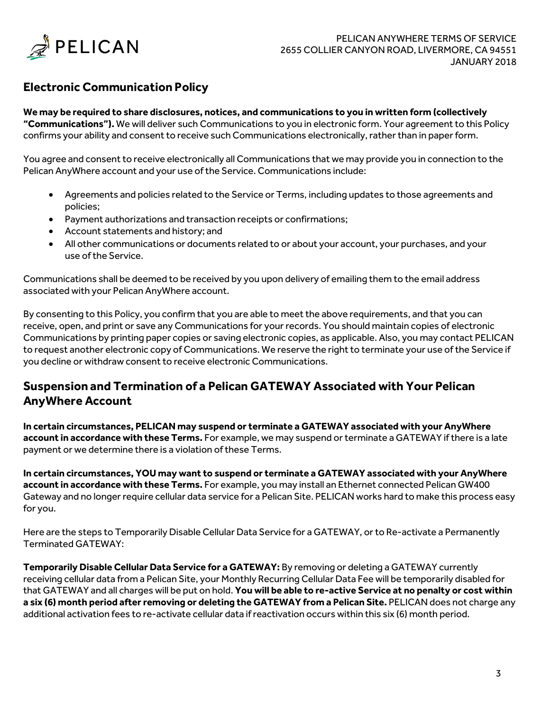

# **Electronic Communication Policy**

#### **We may be required to share disclosures, notices, and communications to you in written form (collectively "Communications").** We will deliver such Communications to you in electronic form. Your agreement to this Policy confirms your ability and consent to receive such Communications electronically, rather than in paperform.

You agree and consent to receive electronically all Communications that we may provide you in connection to the Pelican AnyWhere account and your use of the Service. Communications include:

- Agreements and policies related to the Service or Terms, including updates to those agreements and policies;
- Payment authorizations and transaction receipts or confirmations;
- Account statements and history; and
- All other communications or documents related to or about your account, your purchases, and your use of the Service.

Communications shall be deemed to be received by you upon delivery of emailing them to the email address associated with your Pelican AnyWhere account.

By consenting to this Policy, you confirm that you are able to meet the above requirements, and that you can receive, open, and print or save any Communications for your records. You should maintain copies of electronic Communications by printing paper copies or saving electronic copies, as applicable. Also, you may contact PELICAN to request another electronic copy of Communications. We reserve the right to terminate your use of the Service if you decline or withdraw consent to receive electronic Communications.

# **Suspension and Termination of a Pelican GATEWAY Associated with Your Pelican AnyWhere Account**

**In certain circumstances, PELICAN may suspend or terminate a GATEWAY associated with your AnyWhere account in accordance with these Terms.** For example, we may suspend or terminate a GATEWAY if there is a late payment or we determine there is a violation of these Terms.

**In certain circumstances, YOU may want to suspend or terminate a GATEWAY associated with your AnyWhere account in accordance with these Terms.** For example, you may install an Ethernet connected Pelican GW400 Gateway and no longer require cellular data service for a Pelican Site. PELICAN works hard to make this process easy for you.

Here are the steps to Temporarily Disable Cellular Data Service for a GATEWAY, or to Re-activate a Permanently Terminated GATEWAY:

**Temporarily Disable Cellular Data Service for a GATEWAY:** By removing or deleting a GATEWAY currently receiving cellular data from a Pelican Site, your Monthly Recurring Cellular Data Fee will be temporarily disabled for that GATEWAY and all charges will be put on hold. **You will be able to re-active Service at no penalty or cost within a six (6) month period after removing or deleting the GATEWAY from a Pelican Site.** PELICAN does not charge any additional activation fees to re-activate cellular data if reactivation occurs within this six (6) month period.